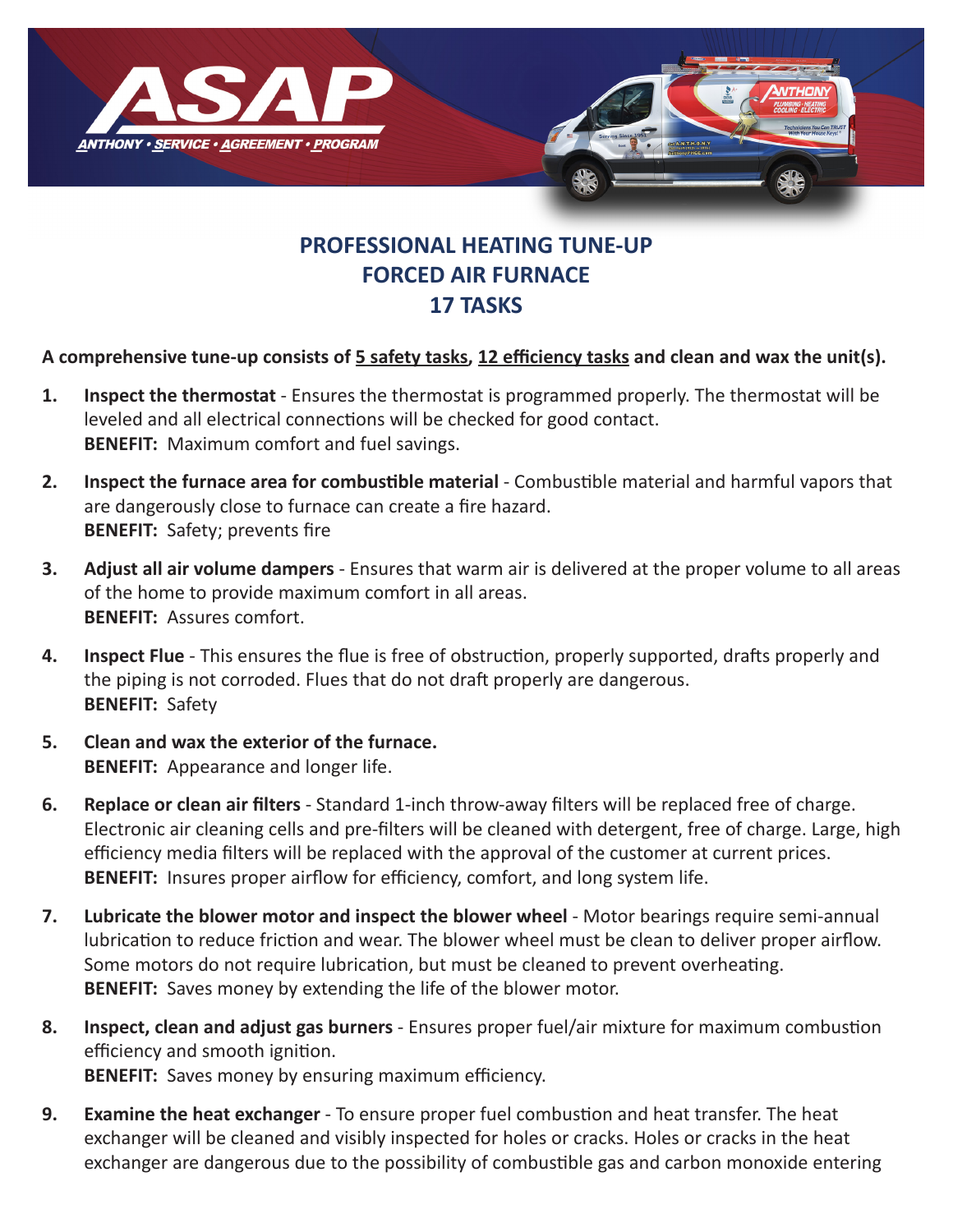

## **PROFESSIONAL HEATING TUNE-UP FORCED AIR FURNACE 17 TASKS**

## **A comprehensive tune-up consists of 5 safety tasks, 12 efficiency tasks and clean and wax the unit(s).**

- **1. Inspect the thermostat** Ensures the thermostat is programmed properly. The thermostat will be leveled and all electrical connections will be checked for good contact. **BENEFIT:** Maximum comfort and fuel savings.
- **2. Inspect the furnace area for combustible material** Combustible material and harmful vapors that are dangerously close to furnace can create a fire hazard. **BENEFIT:** Safety; prevents fire
- **3. Adjust all air volume dampers** Ensures that warm air is delivered at the proper volume to all areas of the home to provide maximum comfort in all areas. **BENEFIT:** Assures comfort.
- **4. Inspect Flue** This ensures the flue is free of obstruction, properly supported, drafts properly and the piping is not corroded. Flues that do not draft properly are dangerous. **BENEFIT:** Safety
- **5. Clean and wax the exterior of the furnace. BENEFIT:** Appearance and longer life.
- **6. Replace or clean air filters** Standard 1-inch throw-away filters will be replaced free of charge. Electronic air cleaning cells and pre-filters will be cleaned with detergent, free of charge. Large, high efficiency media filters will be replaced with the approval of the customer at current prices. **BENEFIT:** Insures proper airflow for efficiency, comfort, and long system life.
- **7.** Lubricate the blower motor and inspect the blower wheel Motor bearings require semi-annual lubrication to reduce friction and wear. The blower wheel must be clean to deliver proper airflow. Some motors do not require lubrication, but must be cleaned to prevent overheating. **BENEFIT:** Saves money by extending the life of the blower motor.
- **8. Inspect, clean and adjust gas burners** Ensures proper fuel/air mixture for maximum combustion efficiency and smooth ignition.

**BENEFIT:** Saves money by ensuring maximum efficiency.

**9. Examine the heat exchanger** - To ensure proper fuel combustion and heat transfer. The heat exchanger will be cleaned and visibly inspected for holes or cracks. Holes or cracks in the heat exchanger are dangerous due to the possibility of combustible gas and carbon monoxide entering